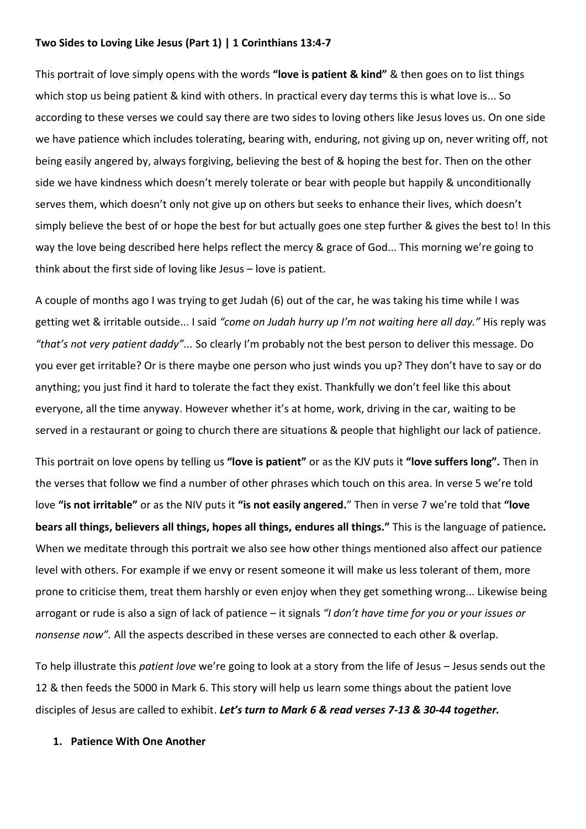## **Two Sides to Loving Like Jesus (Part 1) | 1 Corinthians 13:4-7**

This portrait of love simply opens with the words **"love is patient & kind"** & then goes on to list things which stop us being patient & kind with others. In practical every day terms this is what love is... So according to these verses we could say there are two sides to loving others like Jesus loves us. On one side we have patience which includes tolerating, bearing with, enduring, not giving up on, never writing off, not being easily angered by, always forgiving, believing the best of & hoping the best for. Then on the other side we have kindness which doesn't merely tolerate or bear with people but happily & unconditionally serves them, which doesn't only not give up on others but seeks to enhance their lives, which doesn't simply believe the best of or hope the best for but actually goes one step further & gives the best to! In this way the love being described here helps reflect the mercy & grace of God... This morning we're going to think about the first side of loving like Jesus – love is patient.

A couple of months ago I was trying to get Judah (6) out of the car, he was taking his time while I was getting wet & irritable outside... I said *"come on Judah hurry up I'm not waiting here all day."* His reply was *"that's not very patient daddy"...* So clearly I'm probably not the best person to deliver this message. Do you ever get irritable? Or is there maybe one person who just winds you up? They don't have to say or do anything; you just find it hard to tolerate the fact they exist. Thankfully we don't feel like this about everyone, all the time anyway. However whether it's at home, work, driving in the car, waiting to be served in a restaurant or going to church there are situations & people that highlight our lack of patience.

This portrait on love opens by telling us **"love is patient"** or as the KJV puts it **"love suffers long"***.* Then in the verses that follow we find a number of other phrases which touch on this area. In verse 5 we're told love **"is not irritable"** or as the NIV puts it **"is not easily angered.**" Then in verse 7 we're told that **"love bears all things, believers all things, hopes all things, endures all things."** This is the language of patience*.*  When we meditate through this portrait we also see how other things mentioned also affect our patience level with others. For example if we envy or resent someone it will make us less tolerant of them, more prone to criticise them, treat them harshly or even enjoy when they get something wrong... Likewise being arrogant or rude is also a sign of lack of patience – it signals *"I don't have time for you or your issues or nonsense now".* All the aspects described in these verses are connected to each other & overlap.

To help illustrate this *patient love* we're going to look at a story from the life of Jesus – Jesus sends out the 12 & then feeds the 5000 in Mark 6. This story will help us learn some things about the patient love disciples of Jesus are called to exhibit. *Let's turn to Mark 6 & read verses 7-13 & 30-44 together.*

## **1. Patience With One Another**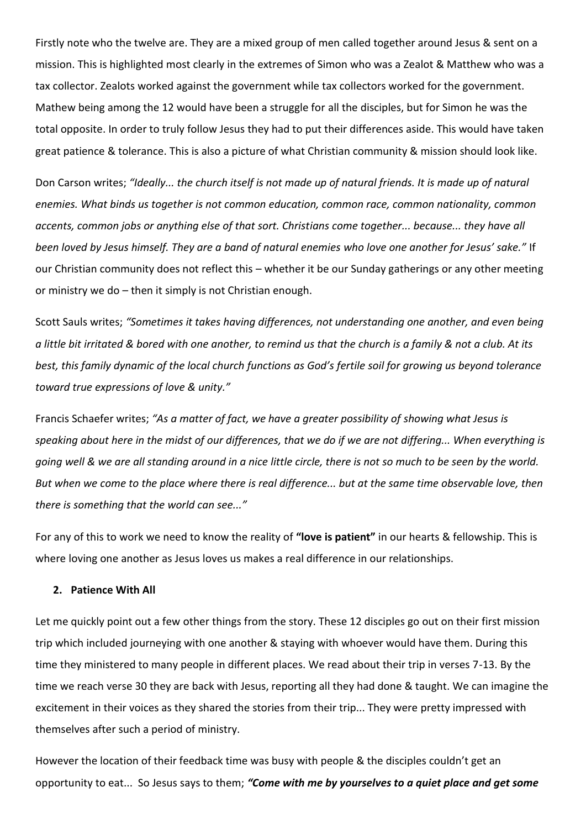Firstly note who the twelve are. They are a mixed group of men called together around Jesus & sent on a mission. This is highlighted most clearly in the extremes of Simon who was a Zealot & Matthew who was a tax collector. Zealots worked against the government while tax collectors worked for the government. Mathew being among the 12 would have been a struggle for all the disciples, but for Simon he was the total opposite. In order to truly follow Jesus they had to put their differences aside. This would have taken great patience & tolerance. This is also a picture of what Christian community & mission should look like.

Don Carson writes; *"Ideally... the church itself is not made up of natural friends. It is made up of natural enemies. What binds us together is not common education, common race, common nationality, common accents, common jobs or anything else of that sort. Christians come together... because... they have all been loved by Jesus himself. They are a band of natural enemies who love one another for Jesus' sake."* If our Christian community does not reflect this – whether it be our Sunday gatherings or any other meeting or ministry we do – then it simply is not Christian enough.

Scott Sauls writes; *"Sometimes it takes having differences, not understanding one another, and even being a little bit irritated & bored with one another, to remind us that the church is a family & not a club. At its best, this family dynamic of the local church functions as God's fertile soil for growing us beyond tolerance toward true expressions of love & unity."*

Francis Schaefer writes; *"As a matter of fact, we have a greater possibility of showing what Jesus is speaking about here in the midst of our differences, that we do if we are not differing... When everything is going well & we are all standing around in a nice little circle, there is not so much to be seen by the world. But when we come to the place where there is real difference... but at the same time observable love, then there is something that the world can see..."*

For any of this to work we need to know the reality of **"love is patient"** in our hearts & fellowship. This is where loving one another as Jesus loves us makes a real difference in our relationships.

## **2. Patience With All**

Let me quickly point out a few other things from the story. These 12 disciples go out on their first mission trip which included journeying with one another & staying with whoever would have them. During this time they ministered to many people in different places. We read about their trip in verses 7-13. By the time we reach verse 30 they are back with Jesus, reporting all they had done & taught. We can imagine the excitement in their voices as they shared the stories from their trip... They were pretty impressed with themselves after such a period of ministry.

However the location of their feedback time was busy with people & the disciples couldn't get an opportunity to eat... So Jesus says to them; *"Come with me by yourselves to a quiet place and get some*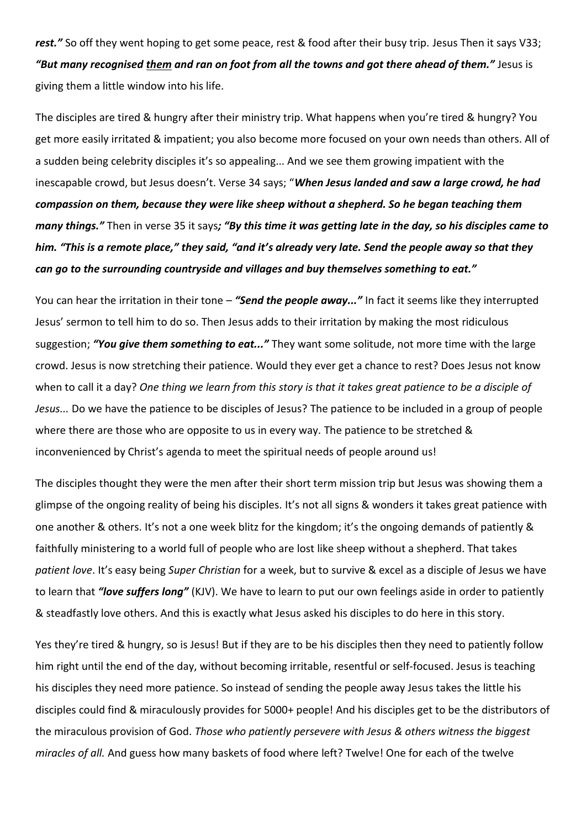*rest."* So off they went hoping to get some peace, rest & food after their busy trip. Jesus Then it says V33; *"But many recognised them and ran on foot from all the towns and got there ahead of them."* Jesus is giving them a little window into his life.

The disciples are tired & hungry after their ministry trip. What happens when you're tired & hungry? You get more easily irritated & impatient; you also become more focused on your own needs than others. All of a sudden being celebrity disciples it's so appealing... And we see them growing impatient with the inescapable crowd, but Jesus doesn't. Verse 34 says; "*When Jesus landed and saw a large crowd, he had compassion on them, because they were like sheep without a shepherd. So he began teaching them many things."* Then in verse 35 it says*; "By this time it was getting late in the day, so his disciples came to him. "This is a remote place," they said, "and it's already very late. Send the people away so that they can go to the surrounding countryside and villages and buy themselves something to eat."*

You can hear the irritation in their tone – *"Send the people away..."* In fact it seems like they interrupted Jesus' sermon to tell him to do so. Then Jesus adds to their irritation by making the most ridiculous suggestion; *"You give them something to eat..."* They want some solitude, not more time with the large crowd. Jesus is now stretching their patience. Would they ever get a chance to rest? Does Jesus not know when to call it a day? *One thing we learn from this story is that it takes great patience to be a disciple of Jesus...* Do we have the patience to be disciples of Jesus? The patience to be included in a group of people where there are those who are opposite to us in every way. The patience to be stretched & inconvenienced by Christ's agenda to meet the spiritual needs of people around us!

The disciples thought they were the men after their short term mission trip but Jesus was showing them a glimpse of the ongoing reality of being his disciples. It's not all signs & wonders it takes great patience with one another & others. It's not a one week blitz for the kingdom; it's the ongoing demands of patiently & faithfully ministering to a world full of people who are lost like sheep without a shepherd. That takes *patient love*. It's easy being *Super Christian* for a week, but to survive & excel as a disciple of Jesus we have to learn that *"love suffers long"* (KJV). We have to learn to put our own feelings aside in order to patiently & steadfastly love others. And this is exactly what Jesus asked his disciples to do here in this story.

Yes they're tired & hungry, so is Jesus! But if they are to be his disciples then they need to patiently follow him right until the end of the day, without becoming irritable, resentful or self-focused. Jesus is teaching his disciples they need more patience. So instead of sending the people away Jesus takes the little his disciples could find & miraculously provides for 5000+ people! And his disciples get to be the distributors of the miraculous provision of God. *Those who patiently persevere with Jesus & others witness the biggest miracles of all.* And guess how many baskets of food where left? Twelve! One for each of the twelve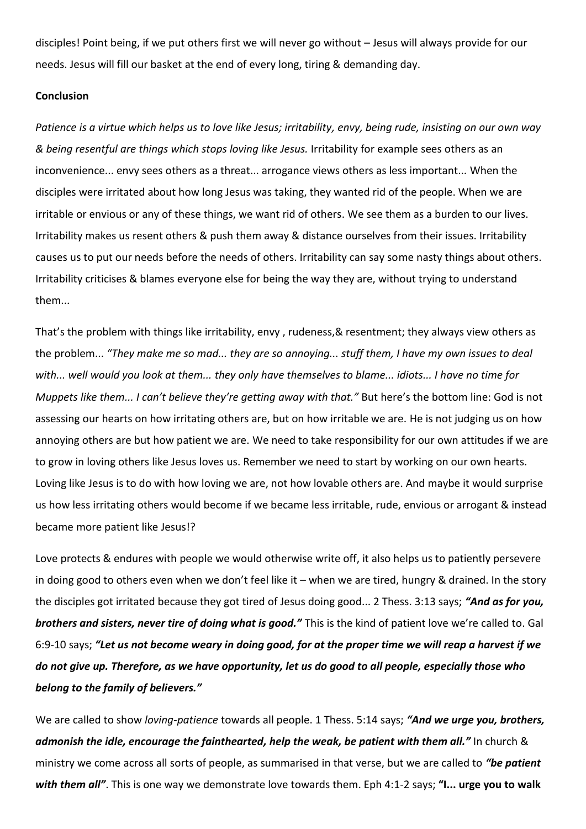disciples! Point being, if we put others first we will never go without – Jesus will always provide for our needs. Jesus will fill our basket at the end of every long, tiring & demanding day.

## **Conclusion**

*Patience is a virtue which helps us to love like Jesus; irritability, envy, being rude, insisting on our own way & being resentful are things which stops loving like Jesus.* Irritability for example sees others as an inconvenience... envy sees others as a threat... arrogance views others as less important... When the disciples were irritated about how long Jesus was taking, they wanted rid of the people. When we are irritable or envious or any of these things, we want rid of others. We see them as a burden to our lives. Irritability makes us resent others & push them away & distance ourselves from their issues. Irritability causes us to put our needs before the needs of others. Irritability can say some nasty things about others. Irritability criticises & blames everyone else for being the way they are, without trying to understand them...

That's the problem with things like irritability, envy , rudeness,& resentment; they always view others as the problem... *"They make me so mad... they are so annoying... stuff them, I have my own issues to deal with... well would you look at them... they only have themselves to blame... idiots... I have no time for Muppets like them... I can't believe they're getting away with that."* But here's the bottom line: God is not assessing our hearts on how irritating others are, but on how irritable we are. He is not judging us on how annoying others are but how patient we are. We need to take responsibility for our own attitudes if we are to grow in loving others like Jesus loves us. Remember we need to start by working on our own hearts. Loving like Jesus is to do with how loving we are, not how lovable others are. And maybe it would surprise us how less irritating others would become if we became less irritable, rude, envious or arrogant & instead became more patient like Jesus!?

Love protects & endures with people we would otherwise write off, it also helps us to patiently persevere in doing good to others even when we don't feel like it – when we are tired, hungry & drained. In the story the disciples got irritated because they got tired of Jesus doing good... 2 Thess. 3:13 says; *"And as for you, brothers and sisters, never tire of doing what is good."* This is the kind of patient love we're called to. Gal 6:9-10 says; *"Let us not become weary in doing good, for at the proper time we will reap a harvest if we do not give up. Therefore, as we have opportunity, let us do good to all people, especially those who belong to the family of believers."*

We are called to show *loving-patience* towards all people. 1 Thess. 5:14 says; *"And we urge you, brothers, admonish the idle, encourage the fainthearted, help the weak, be patient with them all."* In church & ministry we come across all sorts of people, as summarised in that verse, but we are called to *"be patient with them all"*. This is one way we demonstrate love towards them. Eph 4:1-2 says; **"I... urge you to walk**